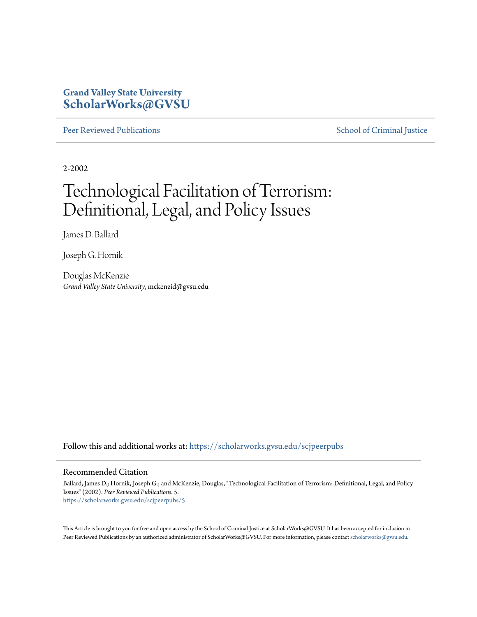# **Grand Valley State University [ScholarWorks@GVSU](https://scholarworks.gvsu.edu?utm_source=scholarworks.gvsu.edu%2Fscjpeerpubs%2F5&utm_medium=PDF&utm_campaign=PDFCoverPages)**

[Peer Reviewed Publications](https://scholarworks.gvsu.edu/scjpeerpubs?utm_source=scholarworks.gvsu.edu%2Fscjpeerpubs%2F5&utm_medium=PDF&utm_campaign=PDFCoverPages) **[School of Criminal Justice](https://scholarworks.gvsu.edu/scj?utm_source=scholarworks.gvsu.edu%2Fscjpeerpubs%2F5&utm_medium=PDF&utm_campaign=PDFCoverPages)** 

2-2002

# Technological Facilitation of Terrorism: Definitional, Legal, and Policy Issues

James D. Ballard

Joseph G. Hornik

Douglas McKenzie *Grand Valley State University*, mckenzid@gvsu.edu

Follow this and additional works at: [https://scholarworks.gvsu.edu/scjpeerpubs](https://scholarworks.gvsu.edu/scjpeerpubs?utm_source=scholarworks.gvsu.edu%2Fscjpeerpubs%2F5&utm_medium=PDF&utm_campaign=PDFCoverPages)

## Recommended Citation

Ballard, James D.; Hornik, Joseph G.; and McKenzie, Douglas, "Technological Facilitation of Terrorism: Definitional, Legal, and Policy Issues" (2002). *Peer Reviewed Publications*. 5. [https://scholarworks.gvsu.edu/scjpeerpubs/5](https://scholarworks.gvsu.edu/scjpeerpubs/5?utm_source=scholarworks.gvsu.edu%2Fscjpeerpubs%2F5&utm_medium=PDF&utm_campaign=PDFCoverPages)

This Article is brought to you for free and open access by the School of Criminal Justice at ScholarWorks@GVSU. It has been accepted for inclusion in Peer Reviewed Publications by an authorized administrator of ScholarWorks@GVSU. For more information, please contact [scholarworks@gvsu.edu.](mailto:scholarworks@gvsu.edu)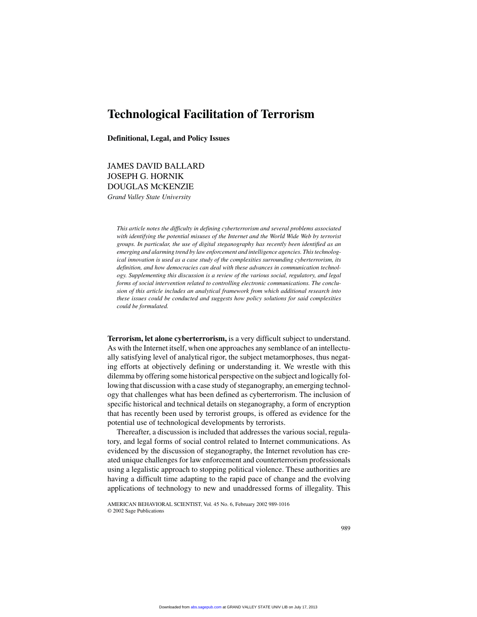## **Technological Facilitation of Terrorism**

**Definitional, Legal, and Policy Issues**

JAMES DAVID BALLARD JOSEPH G. HORNIK DOUGLAS MCKENZIE *Grand Valley State University*

*This article notes the difficulty in defining cyberterrorism and several problems associated with identifying the potential misuses of the Internet and the World Wide Web by terrorist groups. In particular, the use of digital steganography has recently been identified as an emerging and alarming trend by law enforcement and intelligence agencies. This technological innovation is used as a case study of the complexities surrounding cyberterrorism, its definition, and how democracies can deal with these advances in communication technology. Supplementing this discussion is a review of the various social, regulatory, and legal forms of social intervention related to controlling electronic communications. The conclusion of this article includes an analytical framework from which additional research into these issues could be conducted and suggests how policy solutions for said complexities could be formulated.*

**Terrorism, let alone cyberterrorism,** is a very difficult subject to understand. As with the Internet itself, when one approaches any semblance of an intellectually satisfying level of analytical rigor, the subject metamorphoses, thus negating efforts at objectively defining or understanding it. We wrestle with this dilemma by offering some historical perspective on the subject and logically following that discussion with a case study of steganography, an emerging technology that challenges what has been defined as cyberterrorism. The inclusion of specific historical and technical details on steganography, a form of encryption that has recently been used by terrorist groups, is offered as evidence for the potential use of technological developments by terrorists.

Thereafter, a discussion is included that addresses the various social, regulatory, and legal forms of social control related to Internet communications. As evidenced by the discussion of steganography, the Internet revolution has created unique challenges for law enforcement and counterterrorism professionals using a legalistic approach to stopping political violence. These authorities are having a difficult time adapting to the rapid pace of change and the evolving applications of technology to new and unaddressed forms of illegality. This

AMERICAN BEHAVIORAL SCIENTIST, Vol. 45 No. 6, February 2002 989-1016 © 2002 Sage Publications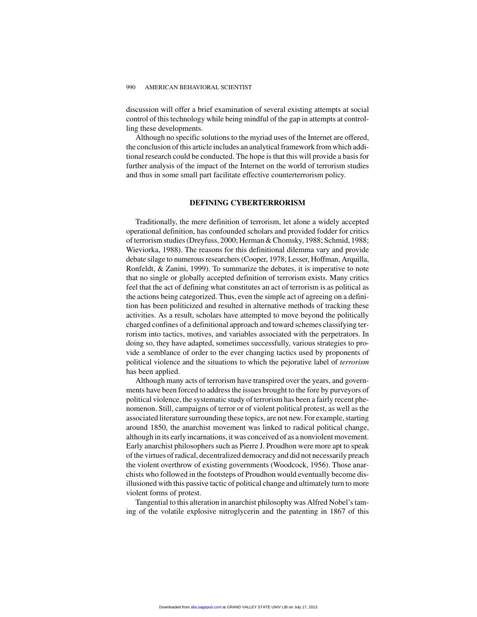discussion will offer a brief examination of several existing attempts at social control of this technology while being mindful of the gap in attempts at controlling these developments.

Although no specific solutions to the myriad uses of the Internet are offered, the conclusion of this article includes an analytical framework from which additional research could be conducted. The hope is that this will provide a basis for further analysis of the impact of the Internet on the world of terrorism studies and thus in some small part facilitate effective counterterrorism policy.

#### **DEFINING CYBERTERRORISM**

Traditionally, the mere definition of terrorism, let alone a widely accepted operational definition, has confounded scholars and provided fodder for critics of terrorism studies (Dreyfuss, 2000; Herman & Chomsky, 1988; Schmid, 1988; Wieviorka, 1988). The reasons for this definitional dilemma vary and provide debate silage to numerous researchers (Cooper, 1978; Lesser, Hoffman, Arquilla, Ronfeldt, & Zanini, 1999). To summarize the debates, it is imperative to note that no single or globally accepted definition of terrorism exists. Many critics feel that the act of defining what constitutes an act of terrorism is as political as the actions being categorized. Thus, even the simple act of agreeing on a definition has been politicized and resulted in alternative methods of tracking these activities. As a result, scholars have attempted to move beyond the politically charged confines of a definitional approach and toward schemes classifying terrorism into tactics, motives, and variables associated with the perpetrators. In doing so, they have adapted, sometimes successfully, various strategies to provide a semblance of order to the ever changing tactics used by proponents of political violence and the situations to which the pejorative label of *terrorism* has been applied.

Although many acts of terrorism have transpired over the years, and governments have been forced to address the issues brought to the fore by purveyors of political violence, the systematic study of terrorism has been a fairly recent phenomenon. Still, campaigns of terror or of violent political protest, as well as the associated literature surrounding these topics, are not new. For example, starting around 1850, the anarchist movement was linked to radical political change, although in its early incarnations, it was conceived of as a nonviolent movement. Early anarchist philosophers such as Pierre J. Proudhon were more apt to speak of the virtues of radical, decentralized democracy and did not necessarily preach the violent overthrow of existing governments (Woodcock, 1956). Those anarchists who followed in the footsteps of Proudhon would eventually become disillusioned with this passive tactic of political change and ultimately turn to more violent forms of protest.

Tangential to this alteration in anarchist philosophy was Alfred Nobel's taming of the volatile explosive nitroglycerin and the patenting in 1867 of this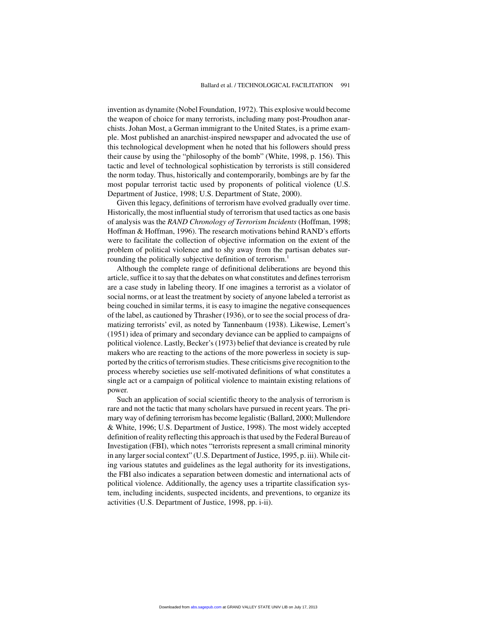invention as dynamite (Nobel Foundation, 1972). This explosive would become the weapon of choice for many terrorists, including many post-Proudhon anarchists. Johan Most, a German immigrant to the United States, is a prime example. Most published an anarchist-inspired newspaper and advocated the use of this technological development when he noted that his followers should press their cause by using the "philosophy of the bomb" (White, 1998, p. 156). This tactic and level of technological sophistication by terrorists is still considered the norm today. Thus, historically and contemporarily, bombings are by far the most popular terrorist tactic used by proponents of political violence (U.S. Department of Justice, 1998; U.S. Department of State, 2000).

Given this legacy, definitions of terrorism have evolved gradually over time. Historically, the most influential study of terrorism that used tactics as one basis of analysis was the *RAND Chronology of Terrorism Incidents* (Hoffman, 1998; Hoffman & Hoffman, 1996). The research motivations behind RAND's efforts were to facilitate the collection of objective information on the extent of the problem of political violence and to shy away from the partisan debates surrounding the politically subjective definition of terrorism.<sup>1</sup>

Although the complete range of definitional deliberations are beyond this article, suffice it to say that the debates on what constitutes and defines terrorism are a case study in labeling theory. If one imagines a terrorist as a violator of social norms, or at least the treatment by society of anyone labeled a terrorist as being couched in similar terms, it is easy to imagine the negative consequences of the label, as cautioned by Thrasher (1936), or to see the social process of dramatizing terrorists' evil, as noted by Tannenbaum (1938). Likewise, Lemert's (1951) idea of primary and secondary deviance can be applied to campaigns of political violence. Lastly, Becker's (1973) belief that deviance is created by rule makers who are reacting to the actions of the more powerless in society is supported by the critics of terrorism studies. These criticisms give recognition to the process whereby societies use self-motivated definitions of what constitutes a single act or a campaign of political violence to maintain existing relations of power.

Such an application of social scientific theory to the analysis of terrorism is rare and not the tactic that many scholars have pursued in recent years. The primary way of defining terrorism has become legalistic (Ballard, 2000; Mullendore & White, 1996; U.S. Department of Justice, 1998). The most widely accepted definition of reality reflecting this approach is that used by the Federal Bureau of Investigation (FBI), which notes "terrorists represent a small criminal minority in any larger social context" (U.S. Department of Justice, 1995, p. iii). While citing various statutes and guidelines as the legal authority for its investigations, the FBI also indicates a separation between domestic and international acts of political violence. Additionally, the agency uses a tripartite classification system, including incidents, suspected incidents, and preventions, to organize its activities (U.S. Department of Justice, 1998, pp. i-ii).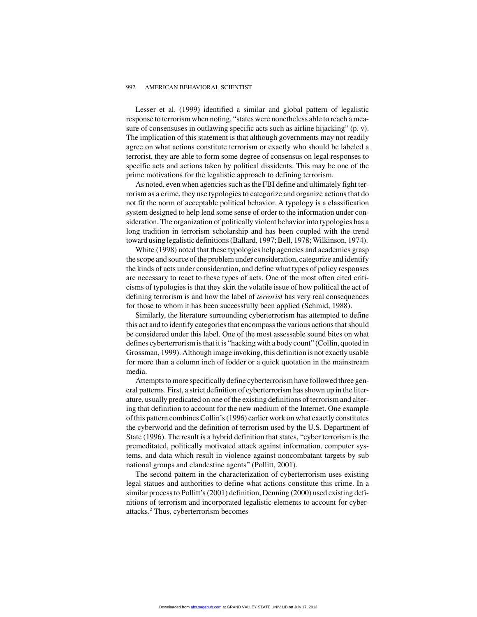#### 992 AMERICAN BEHAVIORAL SCIENTIST

Lesser et al. (1999) identified a similar and global pattern of legalistic response to terrorism when noting, "states were nonetheless able to reach a measure of consensuses in outlawing specific acts such as airline hijacking" (p. v). The implication of this statement is that although governments may not readily agree on what actions constitute terrorism or exactly who should be labeled a terrorist, they are able to form some degree of consensus on legal responses to specific acts and actions taken by political dissidents. This may be one of the prime motivations for the legalistic approach to defining terrorism.

As noted, even when agencies such as the FBI define and ultimately fight terrorism as a crime, they use typologies to categorize and organize actions that do not fit the norm of acceptable political behavior. A typology is a classification system designed to help lend some sense of order to the information under consideration. The organization of politically violent behavior into typologies has a long tradition in terrorism scholarship and has been coupled with the trend toward using legalistic definitions (Ballard, 1997; Bell, 1978; Wilkinson, 1974).

White (1998) noted that these typologies help agencies and academics grasp the scope and source of the problem under consideration, categorize and identify the kinds of acts under consideration, and define what types of policy responses are necessary to react to these types of acts. One of the most often cited criticisms of typologies is that they skirt the volatile issue of how political the act of defining terrorism is and how the label of *terrorist* has very real consequences for those to whom it has been successfully been applied (Schmid, 1988).

Similarly, the literature surrounding cyberterrorism has attempted to define this act and to identify categories that encompass the various actions that should be considered under this label. One of the most assessable sound bites on what defines cyberterrorism is that it is "hacking with a body count" (Collin, quoted in Grossman, 1999). Although image invoking, this definition is not exactly usable for more than a column inch of fodder or a quick quotation in the mainstream media.

Attempts to more specifically define cyberterrorism have followed three general patterns. First, a strict definition of cyberterrorism has shown up in the literature, usually predicated on one of the existing definitions of terrorism and altering that definition to account for the new medium of the Internet. One example of this pattern combines Collin's (1996) earlier work on what exactly constitutes the cyberworld and the definition of terrorism used by the U.S. Department of State (1996). The result is a hybrid definition that states, "cyber terrorism is the premeditated, politically motivated attack against information, computer systems, and data which result in violence against noncombatant targets by sub national groups and clandestine agents" (Pollitt, 2001).

The second pattern in the characterization of cyberterrorism uses existing legal statues and authorities to define what actions constitute this crime. In a similar process to Pollitt's (2001) definition, Denning (2000) used existing definitions of terrorism and incorporated legalistic elements to account for cyberattacks.2 Thus, cyberterrorism becomes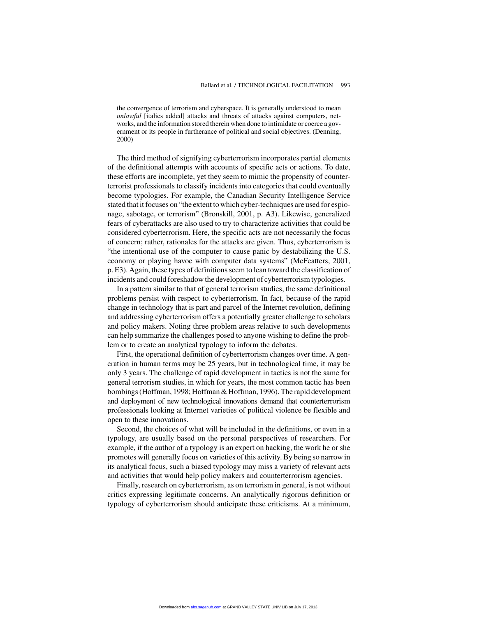the convergence of terrorism and cyberspace. It is generally understood to mean *unlawful* [italics added] attacks and threats of attacks against computers, networks, and the information stored therein when done to intimidate or coerce a government or its people in furtherance of political and social objectives. (Denning, 2000)

The third method of signifying cyberterrorism incorporates partial elements of the definitional attempts with accounts of specific acts or actions. To date, these efforts are incomplete, yet they seem to mimic the propensity of counterterrorist professionals to classify incidents into categories that could eventually become typologies. For example, the Canadian Security Intelligence Service stated that it focuses on "the extent to which cyber-techniques are used for espionage, sabotage, or terrorism" (Bronskill, 2001, p. A3). Likewise, generalized fears of cyberattacks are also used to try to characterize activities that could be considered cyberterrorism. Here, the specific acts are not necessarily the focus of concern; rather, rationales for the attacks are given. Thus, cyberterrorism is "the intentional use of the computer to cause panic by destabilizing the U.S. economy or playing havoc with computer data systems" (McFeatters, 2001, p. E3). Again, these types of definitions seem to lean toward the classification of incidents and could foreshadow the development of cyberterrorism typologies.

In a pattern similar to that of general terrorism studies, the same definitional problems persist with respect to cyberterrorism. In fact, because of the rapid change in technology that is part and parcel of the Internet revolution, defining and addressing cyberterrorism offers a potentially greater challenge to scholars and policy makers. Noting three problem areas relative to such developments can help summarize the challenges posed to anyone wishing to define the problem or to create an analytical typology to inform the debates.

First, the operational definition of cyberterrorism changes over time. A generation in human terms may be 25 years, but in technological time, it may be only 3 years. The challenge of rapid development in tactics is not the same for general terrorism studies, in which for years, the most common tactic has been bombings (Hoffman, 1998; Hoffman & Hoffman, 1996). The rapid development and deployment of new technological innovations demand that counterterrorism professionals looking at Internet varieties of political violence be flexible and open to these innovations.

Second, the choices of what will be included in the definitions, or even in a typology, are usually based on the personal perspectives of researchers. For example, if the author of a typology is an expert on hacking, the work he or she promotes will generally focus on varieties of this activity. By being so narrow in its analytical focus, such a biased typology may miss a variety of relevant acts and activities that would help policy makers and counterterrorism agencies.

Finally, research on cyberterrorism, as on terrorism in general, is not without critics expressing legitimate concerns. An analytically rigorous definition or typology of cyberterrorism should anticipate these criticisms. At a minimum,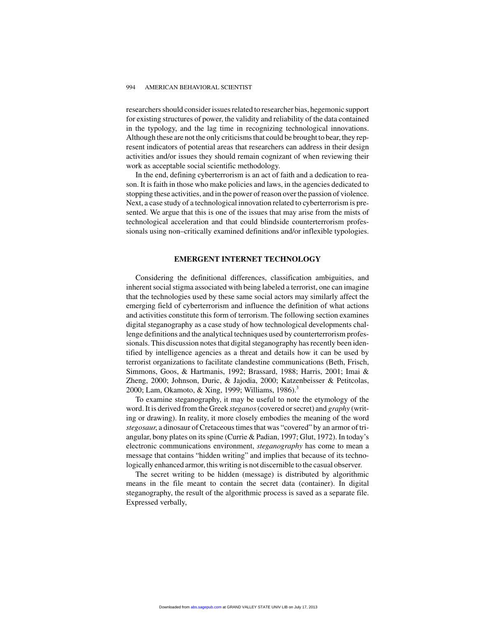researchers should consider issues related to researcher bias, hegemonic support for existing structures of power, the validity and reliability of the data contained in the typology, and the lag time in recognizing technological innovations. Although these are not the only criticisms that could be brought to bear, they represent indicators of potential areas that researchers can address in their design activities and/or issues they should remain cognizant of when reviewing their work as acceptable social scientific methodology.

In the end, defining cyberterrorism is an act of faith and a dedication to reason. It is faith in those who make policies and laws, in the agencies dedicated to stopping these activities, and in the power of reason over the passion of violence. Next, a case study of a technological innovation related to cyberterrorism is presented. We argue that this is one of the issues that may arise from the mists of technological acceleration and that could blindside counterterrorism professionals using non–critically examined definitions and/or inflexible typologies.

#### **EMERGENT INTERNET TECHNOLOGY**

Considering the definitional differences, classification ambiguities, and inherent social stigma associated with being labeled a terrorist, one can imagine that the technologies used by these same social actors may similarly affect the emerging field of cyberterrorism and influence the definition of what actions and activities constitute this form of terrorism. The following section examines digital steganography as a case study of how technological developments challenge definitions and the analytical techniques used by counterterrorism professionals. This discussion notes that digital steganography has recently been identified by intelligence agencies as a threat and details how it can be used by terrorist organizations to facilitate clandestine communications (Beth, Frisch, Simmons, Goos, & Hartmanis, 1992; Brassard, 1988; Harris, 2001; Imai & Zheng, 2000; Johnson, Duric, & Jajodia, 2000; Katzenbeisser & Petitcolas, 2000; Lam, Okamoto, & Xing, 1999; Williams, 1986).<sup>3</sup>

To examine steganography, it may be useful to note the etymology of the word. It is derived from the Greek *steganos*(covered or secret) and *graphy* (writing or drawing). In reality, it more closely embodies the meaning of the word *stegosaur*, a dinosaur of Cretaceous times that was "covered" by an armor of triangular, bony plates on its spine (Currie & Padian, 1997; Glut, 1972). In today's electronic communications environment, *steganography* has come to mean a message that contains "hidden writing" and implies that because of its technologically enhanced armor, this writing is not discernible to the casual observer.

The secret writing to be hidden (message) is distributed by algorithmic means in the file meant to contain the secret data (container). In digital steganography, the result of the algorithmic process is saved as a separate file. Expressed verbally,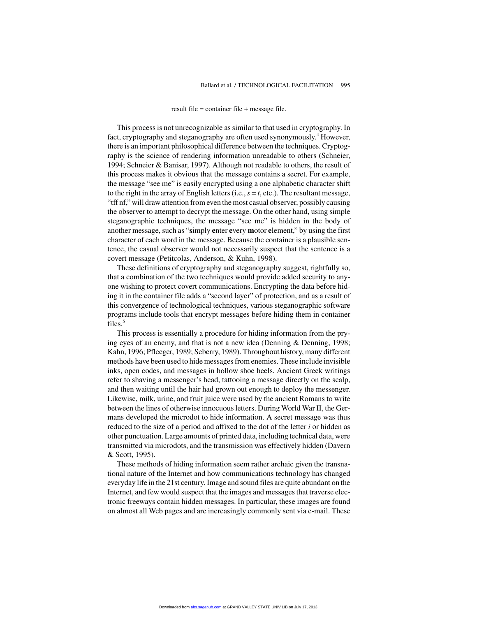#### result file = container file + message file.

This process is not unrecognizable as similar to that used in cryptography. In fact, cryptography and steganography are often used synonymously.<sup>4</sup> However, there is an important philosophical difference between the techniques. Cryptography is the science of rendering information unreadable to others (Schneier, 1994; Schneier & Banisar, 1997). Although not readable to others, the result of this process makes it obvious that the message contains a secret. For example, the message "see me" is easily encrypted using a one alphabetic character shift to the right in the array of English letters (i.e.,  $s = t$ , etc.). The resultant message, "tff nf," will draw attention from even the most casual observer, possibly causing the observer to attempt to decrypt the message. On the other hand, using simple steganographic techniques, the message "see me" is hidden in the body of another message, such as "**s**imply **e**nter **e**very **m**otor **e**lement," by using the first character of each word in the message. Because the container is a plausible sentence, the casual observer would not necessarily suspect that the sentence is a covert message (Petitcolas, Anderson, & Kuhn, 1998).

These definitions of cryptography and steganography suggest, rightfully so, that a combination of the two techniques would provide added security to anyone wishing to protect covert communications. Encrypting the data before hiding it in the container file adds a "second layer" of protection, and as a result of this convergence of technological techniques, various steganographic software programs include tools that encrypt messages before hiding them in container files.<sup>5</sup>

This process is essentially a procedure for hiding information from the prying eyes of an enemy, and that is not a new idea (Denning & Denning, 1998; Kahn, 1996; Pfleeger, 1989; Seberry, 1989). Throughout history, many different methods have been used to hide messages from enemies. These include invisible inks, open codes, and messages in hollow shoe heels. Ancient Greek writings refer to shaving a messenger's head, tattooing a message directly on the scalp, and then waiting until the hair had grown out enough to deploy the messenger. Likewise, milk, urine, and fruit juice were used by the ancient Romans to write between the lines of otherwise innocuous letters. During World War II, the Germans developed the microdot to hide information. A secret message was thus reduced to the size of a period and affixed to the dot of the letter *i* or hidden as other punctuation. Large amounts of printed data, including technical data, were transmitted via microdots, and the transmission was effectively hidden (Davern & Scott, 1995).

These methods of hiding information seem rather archaic given the transnational nature of the Internet and how communications technology has changed everyday life in the 21st century. Image and sound files are quite abundant on the Internet, and few would suspect that the images and messages that traverse electronic freeways contain hidden messages. In particular, these images are found on almost all Web pages and are increasingly commonly sent via e-mail. These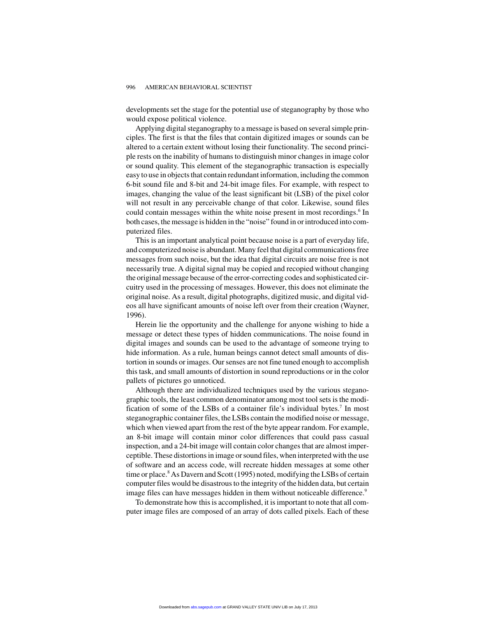developments set the stage for the potential use of steganography by those who would expose political violence.

Applying digital steganography to a message is based on several simple principles. The first is that the files that contain digitized images or sounds can be altered to a certain extent without losing their functionality. The second principle rests on the inability of humans to distinguish minor changes in image color or sound quality. This element of the steganographic transaction is especially easy to use in objects that contain redundant information, including the common 6-bit sound file and 8-bit and 24-bit image files. For example, with respect to images, changing the value of the least significant bit (LSB) of the pixel color will not result in any perceivable change of that color. Likewise, sound files could contain messages within the white noise present in most recordings.<sup>6</sup> In both cases, the message is hidden in the "noise" found in or introduced into computerized files.

This is an important analytical point because noise is a part of everyday life, and computerized noise is abundant. Many feel that digital communications free messages from such noise, but the idea that digital circuits are noise free is not necessarily true. A digital signal may be copied and recopied without changing the original message because of the error-correcting codes and sophisticated circuitry used in the processing of messages. However, this does not eliminate the original noise. As a result, digital photographs, digitized music, and digital videos all have significant amounts of noise left over from their creation (Wayner, 1996).

Herein lie the opportunity and the challenge for anyone wishing to hide a message or detect these types of hidden communications. The noise found in digital images and sounds can be used to the advantage of someone trying to hide information. As a rule, human beings cannot detect small amounts of distortion in sounds or images. Our senses are not fine tuned enough to accomplish this task, and small amounts of distortion in sound reproductions or in the color pallets of pictures go unnoticed.

Although there are individualized techniques used by the various steganographic tools, the least common denominator among most tool sets is the modification of some of the LSBs of a container file's individual bytes.<sup>7</sup> In most steganographic container files, the LSBs contain the modified noise or message, which when viewed apart from the rest of the byte appear random. For example, an 8-bit image will contain minor color differences that could pass casual inspection, and a 24-bit image will contain color changes that are almost imperceptible. These distortions in image or sound files, when interpreted with the use of software and an access code, will recreate hidden messages at some other time or place.<sup>8</sup> As Davern and Scott (1995) noted, modifying the LSBs of certain computer files would be disastrous to the integrity of the hidden data, but certain image files can have messages hidden in them without noticeable difference.<sup>9</sup>

To demonstrate how this is accomplished, it is important to note that all computer image files are composed of an array of dots called pixels. Each of these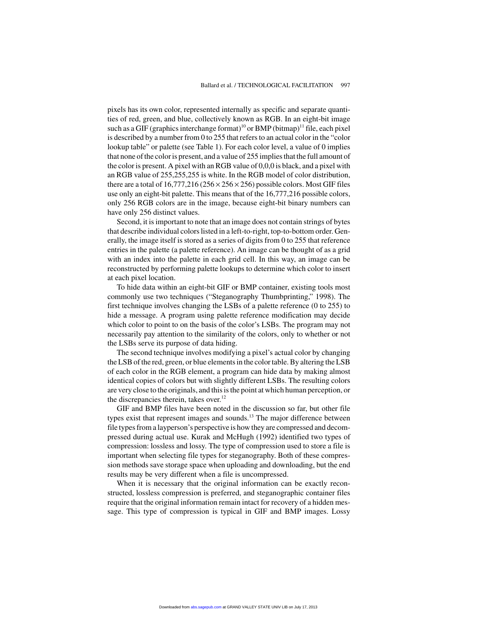pixels has its own color, represented internally as specific and separate quantities of red, green, and blue, collectively known as RGB. In an eight-bit image such as a GIF (graphics interchange format)<sup>10</sup> or BMP (bitmap)<sup>11</sup> file, each pixel is described by a number from 0 to 255 that refers to an actual color in the "color lookup table" or palette (see Table 1). For each color level, a value of 0 implies that none of the color is present, and a value of 255 implies that the full amount of the color is present. A pixel with an RGB value of 0,0,0 is black, and a pixel with an RGB value of 255,255,255 is white. In the RGB model of color distribution, there are a total of  $16,777,216$  ( $256 \times 256 \times 256$ ) possible colors. Most GIF files use only an eight-bit palette. This means that of the 16,777,216 possible colors, only 256 RGB colors are in the image, because eight-bit binary numbers can have only 256 distinct values.

Second, it is important to note that an image does not contain strings of bytes that describe individual colors listed in a left-to-right, top-to-bottom order. Generally, the image itself is stored as a series of digits from 0 to 255 that reference entries in the palette (a palette reference). An image can be thought of as a grid with an index into the palette in each grid cell. In this way, an image can be reconstructed by performing palette lookups to determine which color to insert at each pixel location.

To hide data within an eight-bit GIF or BMP container, existing tools most commonly use two techniques ("Steganography Thumbprinting," 1998). The first technique involves changing the LSBs of a palette reference (0 to 255) to hide a message. A program using palette reference modification may decide which color to point to on the basis of the color's LSBs. The program may not necessarily pay attention to the similarity of the colors, only to whether or not the LSBs serve its purpose of data hiding.

The second technique involves modifying a pixel's actual color by changing the LSB of the red, green, or blue elements in the color table. By altering the LSB of each color in the RGB element, a program can hide data by making almost identical copies of colors but with slightly different LSBs. The resulting colors are very close to the originals, and this is the point at which human perception, or the discrepancies therein, takes over.<sup>12</sup>

GIF and BMP files have been noted in the discussion so far, but other file types exist that represent images and sounds.<sup>13</sup> The major difference between file types from a layperson's perspective is how they are compressed and decompressed during actual use. Kurak and McHugh (1992) identified two types of compression: lossless and lossy. The type of compression used to store a file is important when selecting file types for steganography. Both of these compression methods save storage space when uploading and downloading, but the end results may be very different when a file is uncompressed.

When it is necessary that the original information can be exactly reconstructed, lossless compression is preferred, and steganographic container files require that the original information remain intact for recovery of a hidden message. This type of compression is typical in GIF and BMP images. Lossy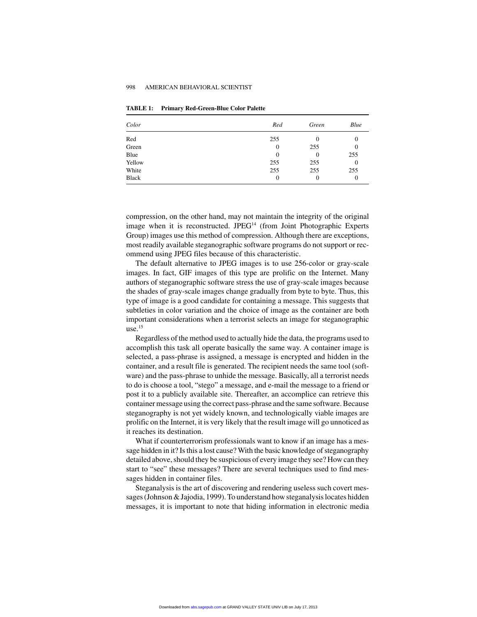| Color        | Red | Green | Blue   |
|--------------|-----|-------|--------|
| Red          | 255 | 0     | $_{0}$ |
| Green        | 0   | 255   | 0      |
| Blue         | 0   | 0     | 255    |
| Yellow       | 255 | 255   | 0      |
| White        | 255 | 255   | 255    |
| <b>Black</b> | 0   | 0     | 0      |

**TABLE 1: Primary Red-Green-Blue Color Palette**

compression, on the other hand, may not maintain the integrity of the original image when it is reconstructed. JPEG<sup>14</sup> (from Joint Photographic Experts Group) images use this method of compression. Although there are exceptions, most readily available steganographic software programs do not support or recommend using JPEG files because of this characteristic.

The default alternative to JPEG images is to use 256-color or gray-scale images. In fact, GIF images of this type are prolific on the Internet. Many authors of steganographic software stress the use of gray-scale images because the shades of gray-scale images change gradually from byte to byte. Thus, this type of image is a good candidate for containing a message. This suggests that subtleties in color variation and the choice of image as the container are both important considerations when a terrorist selects an image for steganographic use. $15$ 

Regardless of the method used to actually hide the data, the programs used to accomplish this task all operate basically the same way. A container image is selected, a pass-phrase is assigned, a message is encrypted and hidden in the container, and a result file is generated. The recipient needs the same tool (software) and the pass-phrase to unhide the message. Basically, all a terrorist needs to do is choose a tool, "stego" a message, and e-mail the message to a friend or post it to a publicly available site. Thereafter, an accomplice can retrieve this container message using the correct pass-phrase and the same software. Because steganography is not yet widely known, and technologically viable images are prolific on the Internet, it is very likely that the result image will go unnoticed as it reaches its destination.

What if counterterrorism professionals want to know if an image has a message hidden in it? Is this a lost cause? With the basic knowledge of steganography detailed above, should they be suspicious of every image they see? How can they start to "see" these messages? There are several techniques used to find messages hidden in container files.

Steganalysis is the art of discovering and rendering useless such covert messages (Johnson & Jajodia, 1999). To understand how steganalysis locates hidden messages, it is important to note that hiding information in electronic media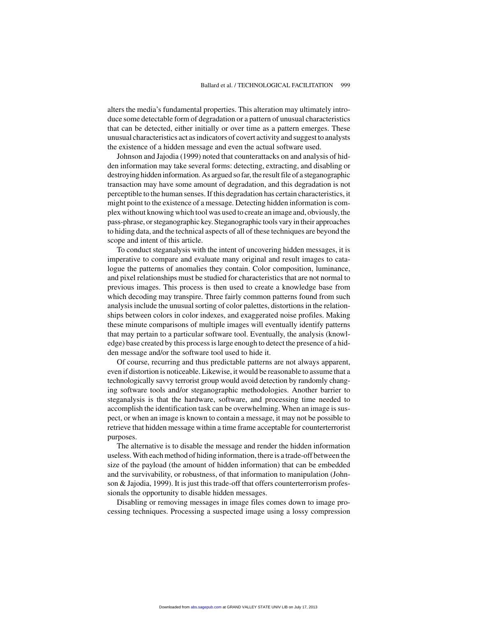alters the media's fundamental properties. This alteration may ultimately introduce some detectable form of degradation or a pattern of unusual characteristics that can be detected, either initially or over time as a pattern emerges. These unusual characteristics act as indicators of covert activity and suggest to analysts the existence of a hidden message and even the actual software used.

Johnson and Jajodia (1999) noted that counterattacks on and analysis of hidden information may take several forms: detecting, extracting, and disabling or destroying hidden information. As argued so far, the result file of a steganographic transaction may have some amount of degradation, and this degradation is not perceptible to the human senses. If this degradation has certain characteristics, it might point to the existence of a message. Detecting hidden information is complex without knowing which tool was used to create an image and, obviously, the pass-phrase, or steganographic key. Steganographic tools vary in their approaches to hiding data, and the technical aspects of all of these techniques are beyond the scope and intent of this article.

To conduct steganalysis with the intent of uncovering hidden messages, it is imperative to compare and evaluate many original and result images to catalogue the patterns of anomalies they contain. Color composition, luminance, and pixel relationships must be studied for characteristics that are not normal to previous images. This process is then used to create a knowledge base from which decoding may transpire. Three fairly common patterns found from such analysis include the unusual sorting of color palettes, distortions in the relationships between colors in color indexes, and exaggerated noise profiles. Making these minute comparisons of multiple images will eventually identify patterns that may pertain to a particular software tool. Eventually, the analysis (knowledge) base created by this process is large enough to detect the presence of a hidden message and/or the software tool used to hide it.

Of course, recurring and thus predictable patterns are not always apparent, even if distortion is noticeable. Likewise, it would be reasonable to assume that a technologically savvy terrorist group would avoid detection by randomly changing software tools and/or steganographic methodologies. Another barrier to steganalysis is that the hardware, software, and processing time needed to accomplish the identification task can be overwhelming. When an image is suspect, or when an image is known to contain a message, it may not be possible to retrieve that hidden message within a time frame acceptable for counterterrorist purposes.

The alternative is to disable the message and render the hidden information useless. With each method of hiding information, there is a trade-off between the size of the payload (the amount of hidden information) that can be embedded and the survivability, or robustness, of that information to manipulation (Johnson & Jajodia, 1999). It is just this trade-off that offers counterterrorism professionals the opportunity to disable hidden messages.

Disabling or removing messages in image files comes down to image processing techniques. Processing a suspected image using a lossy compression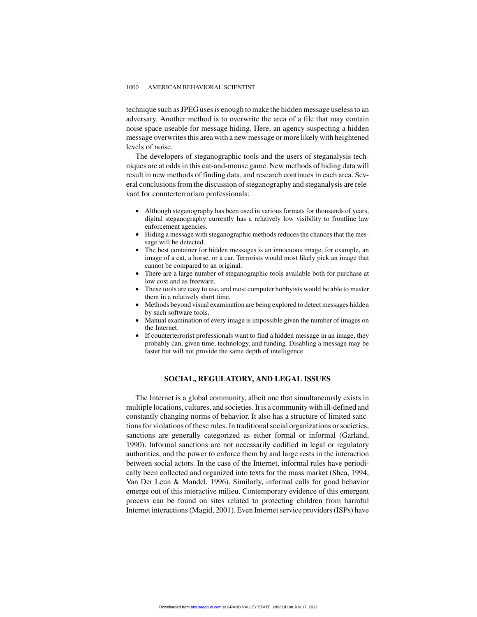technique such as JPEG uses is enough to make the hidden message useless to an adversary. Another method is to overwrite the area of a file that may contain noise space useable for message hiding. Here, an agency suspecting a hidden message overwrites this area with a new message or more likely with heightened levels of noise.

The developers of steganographic tools and the users of steganalysis techniques are at odds in this cat-and-mouse game. New methods of hiding data will result in new methods of finding data, and research continues in each area. Several conclusions from the discussion of steganography and steganalysis are relevant for counterterrorism professionals:

- Although steganography has been used in various formats for thousands of years, digital steganography currently has a relatively low visibility to frontline law enforcement agencies.
- Hiding a message with steganographic methods reduces the chances that the message will be detected.
- The best container for hidden messages is an innocuous image, for example, an image of a cat, a horse, or a car. Terrorists would most likely pick an image that cannot be compared to an original.
- There are a large number of steganographic tools available both for purchase at low cost and as freeware.
- These tools are easy to use, and most computer hobbyists would be able to master them in a relatively short time.
- Methods beyond visual examination are being explored to detect messages hidden by such software tools.
- Manual examination of every image is impossible given the number of images on the Internet.
- If counterterrorist professionals want to find a hidden message in an image, they probably can, given time, technology, and funding. Disabling a message may be faster but will not provide the same depth of intelligence.

#### **SOCIAL, REGULATORY, AND LEGAL ISSUES**

The Internet is a global community, albeit one that simultaneously exists in multiple locations, cultures, and societies. It is a community with ill-defined and constantly changing norms of behavior. It also has a structure of limited sanctions for violations of these rules. In traditional social organizations or societies, sanctions are generally categorized as either formal or informal (Garland, 1990). Informal sanctions are not necessarily codified in legal or regulatory authorities, and the power to enforce them by and large rests in the interaction between social actors. In the case of the Internet, informal rules have periodically been collected and organized into texts for the mass market (Shea, 1994; Van Der Leun & Mandel, 1996). Similarly, informal calls for good behavior emerge out of this interactive milieu. Contemporary evidence of this emergent process can be found on sites related to protecting children from harmful Internet interactions (Magid, 2001). Even Internet service providers (ISPs) have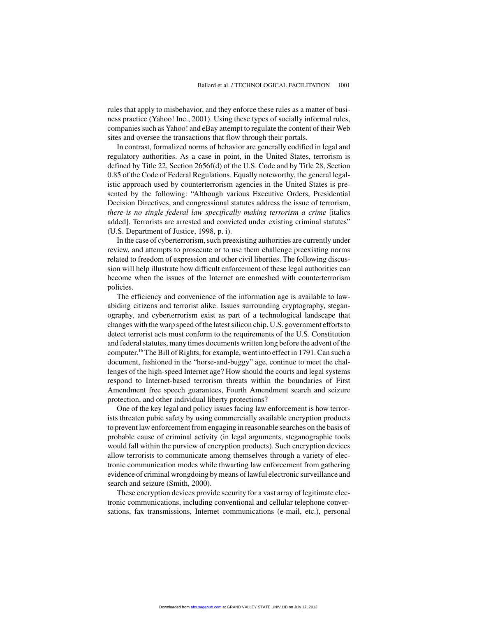rules that apply to misbehavior, and they enforce these rules as a matter of business practice (Yahoo! Inc., 2001). Using these types of socially informal rules, companies such as Yahoo! and eBay attempt to regulate the content of their Web sites and oversee the transactions that flow through their portals.

In contrast, formalized norms of behavior are generally codified in legal and regulatory authorities. As a case in point, in the United States, terrorism is defined by Title 22, Section 2656f(d) of the U.S. Code and by Title 28, Section 0.85 of the Code of Federal Regulations. Equally noteworthy, the general legalistic approach used by counterterrorism agencies in the United States is presented by the following: "Although various Executive Orders, Presidential Decision Directives, and congressional statutes address the issue of terrorism, *there is no single federal law specifically making terrorism a crime* [italics added]. Terrorists are arrested and convicted under existing criminal statutes" (U.S. Department of Justice, 1998, p. i).

In the case of cyberterrorism, such preexisting authorities are currently under review, and attempts to prosecute or to use them challenge preexisting norms related to freedom of expression and other civil liberties. The following discussion will help illustrate how difficult enforcement of these legal authorities can become when the issues of the Internet are enmeshed with counterterrorism policies.

The efficiency and convenience of the information age is available to lawabiding citizens and terrorist alike. Issues surrounding cryptography, steganography, and cyberterrorism exist as part of a technological landscape that changes with the warp speed of the latest silicon chip. U.S. government efforts to detect terrorist acts must conform to the requirements of the U.S. Constitution and federal statutes, many times documents written long before the advent of the computer.16 The Bill of Rights, for example, went into effect in 1791. Can such a document, fashioned in the "horse-and-buggy" age, continue to meet the challenges of the high-speed Internet age? How should the courts and legal systems respond to Internet-based terrorism threats within the boundaries of First Amendment free speech guarantees, Fourth Amendment search and seizure protection, and other individual liberty protections?

One of the key legal and policy issues facing law enforcement is how terrorists threaten pubic safety by using commercially available encryption products to prevent law enforcement from engaging in reasonable searches on the basis of probable cause of criminal activity (in legal arguments, steganographic tools would fall within the purview of encryption products). Such encryption devices allow terrorists to communicate among themselves through a variety of electronic communication modes while thwarting law enforcement from gathering evidence of criminal wrongdoing by means of lawful electronic surveillance and search and seizure (Smith, 2000).

These encryption devices provide security for a vast array of legitimate electronic communications, including conventional and cellular telephone conversations, fax transmissions, Internet communications (e-mail, etc.), personal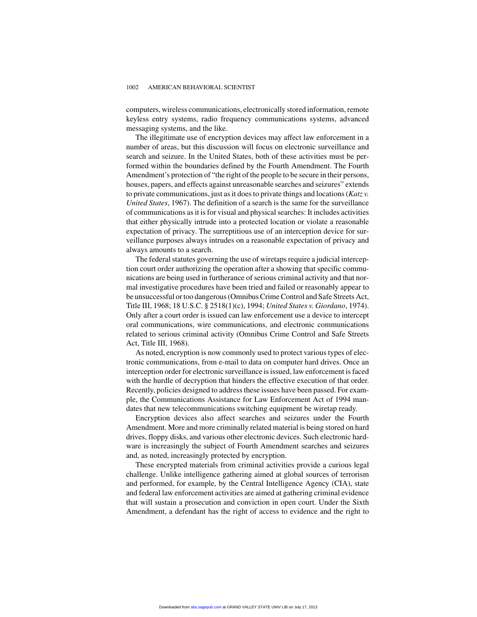computers, wireless communications, electronically stored information, remote keyless entry systems, radio frequency communications systems, advanced messaging systems, and the like.

The illegitimate use of encryption devices may affect law enforcement in a number of areas, but this discussion will focus on electronic surveillance and search and seizure. In the United States, both of these activities must be performed within the boundaries defined by the Fourth Amendment. The Fourth Amendment's protection of "the right of the people to be secure in their persons, houses, papers, and effects against unreasonable searches and seizures" extends to private communications, just as it does to private things and locations (*Katz v. United States*, 1967). The definition of a search is the same for the surveillance of communications as it is for visual and physical searches: It includes activities that either physically intrude into a protected location or violate a reasonable expectation of privacy. The surreptitious use of an interception device for surveillance purposes always intrudes on a reasonable expectation of privacy and always amounts to a search.

The federal statutes governing the use of wiretaps require a judicial interception court order authorizing the operation after a showing that specific communications are being used in furtherance of serious criminal activity and that normal investigative procedures have been tried and failed or reasonably appear to be unsuccessful or too dangerous (Omnibus Crime Control and Safe Streets Act, Title III, 1968; 18 U.S.C. § 2518(1)(c), 1994; *United States v. Giordano*, 1974). Only after a court order is issued can law enforcement use a device to intercept oral communications, wire communications, and electronic communications related to serious criminal activity (Omnibus Crime Control and Safe Streets Act, Title III, 1968).

As noted, encryption is now commonly used to protect various types of electronic communications, from e-mail to data on computer hard drives. Once an interception order for electronic surveillance is issued, law enforcement is faced with the hurdle of decryption that hinders the effective execution of that order. Recently, policies designed to address these issues have been passed. For example, the Communications Assistance for Law Enforcement Act of 1994 mandates that new telecommunications switching equipment be wiretap ready.

Encryption devices also affect searches and seizures under the Fourth Amendment. More and more criminally related material is being stored on hard drives, floppy disks, and various other electronic devices. Such electronic hardware is increasingly the subject of Fourth Amendment searches and seizures and, as noted, increasingly protected by encryption.

These encrypted materials from criminal activities provide a curious legal challenge. Unlike intelligence gathering aimed at global sources of terrorism and performed, for example, by the Central Intelligence Agency (CIA), state and federal law enforcement activities are aimed at gathering criminal evidence that will sustain a prosecution and conviction in open court. Under the Sixth Amendment, a defendant has the right of access to evidence and the right to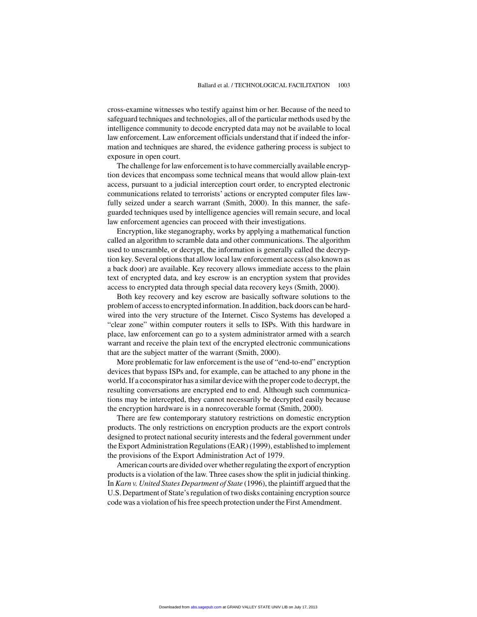cross-examine witnesses who testify against him or her. Because of the need to safeguard techniques and technologies, all of the particular methods used by the intelligence community to decode encrypted data may not be available to local law enforcement. Law enforcement officials understand that if indeed the information and techniques are shared, the evidence gathering process is subject to exposure in open court.

The challenge for law enforcement is to have commercially available encryption devices that encompass some technical means that would allow plain-text access, pursuant to a judicial interception court order, to encrypted electronic communications related to terrorists' actions or encrypted computer files lawfully seized under a search warrant (Smith, 2000). In this manner, the safeguarded techniques used by intelligence agencies will remain secure, and local law enforcement agencies can proceed with their investigations.

Encryption, like steganography, works by applying a mathematical function called an algorithm to scramble data and other communications. The algorithm used to unscramble, or decrypt, the information is generally called the decryption key. Several options that allow local law enforcement access (also known as a back door) are available. Key recovery allows immediate access to the plain text of encrypted data, and key escrow is an encryption system that provides access to encrypted data through special data recovery keys (Smith, 2000).

Both key recovery and key escrow are basically software solutions to the problem of access to encrypted information. In addition, back doors can be hardwired into the very structure of the Internet. Cisco Systems has developed a "clear zone" within computer routers it sells to ISPs. With this hardware in place, law enforcement can go to a system administrator armed with a search warrant and receive the plain text of the encrypted electronic communications that are the subject matter of the warrant (Smith, 2000).

More problematic for law enforcement is the use of "end-to-end" encryption devices that bypass ISPs and, for example, can be attached to any phone in the world. If a coconspirator has a similar device with the proper code to decrypt, the resulting conversations are encrypted end to end. Although such communications may be intercepted, they cannot necessarily be decrypted easily because the encryption hardware is in a nonrecoverable format (Smith, 2000).

There are few contemporary statutory restrictions on domestic encryption products. The only restrictions on encryption products are the export controls designed to protect national security interests and the federal government under the Export Administration Regulations (EAR) (1999), established to implement the provisions of the Export Administration Act of 1979.

American courts are divided over whether regulating the export of encryption products is a violation of the law. Three cases show the split in judicial thinking. In *Karn v. United States Department of State* (1996), the plaintiff argued that the U.S. Department of State's regulation of two disks containing encryption source code was a violation of his free speech protection under the First Amendment.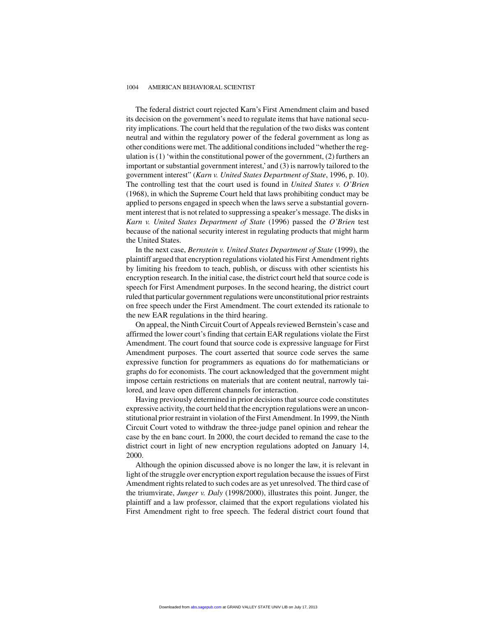#### 1004 AMERICAN BEHAVIORAL SCIENTIST

The federal district court rejected Karn's First Amendment claim and based its decision on the government's need to regulate items that have national security implications. The court held that the regulation of the two disks was content neutral and within the regulatory power of the federal government as long as other conditions were met. The additional conditions included "whether the regulation is  $(1)$  'within the constitutional power of the government,  $(2)$  furthers an important or substantial government interest,'and (3) is narrowly tailored to the government interest" (*Karn v. United States Department of State*, 1996, p. 10). The controlling test that the court used is found in *United States v. O'Brien* (1968), in which the Supreme Court held that laws prohibiting conduct may be applied to persons engaged in speech when the laws serve a substantial government interest that is not related to suppressing a speaker's message. The disks in *Karn v. United States Department of State* (1996) passed the *O'Brien* test because of the national security interest in regulating products that might harm the United States.

In the next case, *Bernstein v. United States Department of State* (1999), the plaintiff argued that encryption regulations violated his First Amendment rights by limiting his freedom to teach, publish, or discuss with other scientists his encryption research. In the initial case, the district court held that source code is speech for First Amendment purposes. In the second hearing, the district court ruled that particular government regulations were unconstitutional prior restraints on free speech under the First Amendment. The court extended its rationale to the new EAR regulations in the third hearing.

On appeal, the Ninth Circuit Court of Appeals reviewed Bernstein's case and affirmed the lower court's finding that certain EAR regulations violate the First Amendment. The court found that source code is expressive language for First Amendment purposes. The court asserted that source code serves the same expressive function for programmers as equations do for mathematicians or graphs do for economists. The court acknowledged that the government might impose certain restrictions on materials that are content neutral, narrowly tailored, and leave open different channels for interaction.

Having previously determined in prior decisions that source code constitutes expressive activity, the court held that the encryption regulations were an unconstitutional prior restraint in violation of the First Amendment. In 1999, the Ninth Circuit Court voted to withdraw the three-judge panel opinion and rehear the case by the en banc court. In 2000, the court decided to remand the case to the district court in light of new encryption regulations adopted on January 14, 2000.

Although the opinion discussed above is no longer the law, it is relevant in light of the struggle over encryption export regulation because the issues of First Amendment rights related to such codes are as yet unresolved. The third case of the triumvirate, *Junger v. Daly* (1998/2000), illustrates this point. Junger, the plaintiff and a law professor, claimed that the export regulations violated his First Amendment right to free speech. The federal district court found that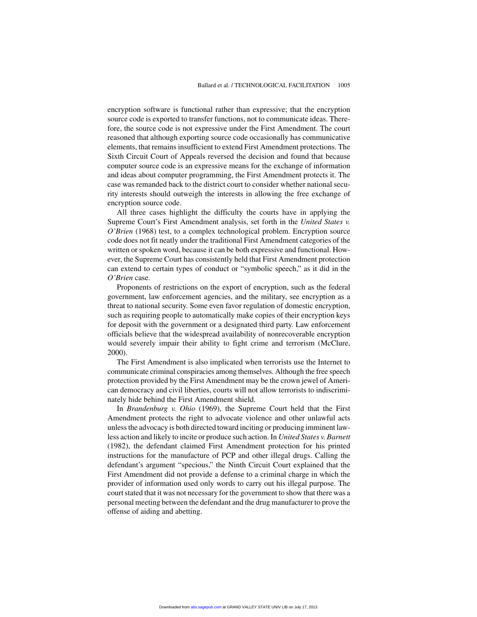encryption software is functional rather than expressive; that the encryption source code is exported to transfer functions, not to communicate ideas. Therefore, the source code is not expressive under the First Amendment. The court reasoned that although exporting source code occasionally has communicative elements, that remains insufficient to extend First Amendment protections. The Sixth Circuit Court of Appeals reversed the decision and found that because computer source code is an expressive means for the exchange of information and ideas about computer programming, the First Amendment protects it. The case was remanded back to the district court to consider whether national security interests should outweigh the interests in allowing the free exchange of encryption source code.

All three cases highlight the difficulty the courts have in applying the Supreme Court's First Amendment analysis, set forth in the *United States v. O'Brien* (1968) test, to a complex technological problem. Encryption source code does not fit neatly under the traditional First Amendment categories of the written or spoken word, because it can be both expressive and functional. However, the Supreme Court has consistently held that First Amendment protection can extend to certain types of conduct or "symbolic speech," as it did in the *O'Brien* case.

Proponents of restrictions on the export of encryption, such as the federal government, law enforcement agencies, and the military, see encryption as a threat to national security. Some even favor regulation of domestic encryption, such as requiring people to automatically make copies of their encryption keys for deposit with the government or a designated third party. Law enforcement officials believe that the widespread availability of nonrecoverable encryption would severely impair their ability to fight crime and terrorism (McClure, 2000).

The First Amendment is also implicated when terrorists use the Internet to communicate criminal conspiracies among themselves. Although the free speech protection provided by the First Amendment may be the crown jewel of American democracy and civil liberties, courts will not allow terrorists to indiscriminately hide behind the First Amendment shield.

In *Brandenburg v. Ohio* (1969), the Supreme Court held that the First Amendment protects the right to advocate violence and other unlawful acts unless the advocacy is both directed toward inciting or producing imminent lawless action and likely to incite or produce such action. In *United States v. Barnett* (1982), the defendant claimed First Amendment protection for his printed instructions for the manufacture of PCP and other illegal drugs. Calling the defendant's argument "specious," the Ninth Circuit Court explained that the First Amendment did not provide a defense to a criminal charge in which the provider of information used only words to carry out his illegal purpose. The court stated that it was not necessary for the government to show that there was a personal meeting between the defendant and the drug manufacturer to prove the offense of aiding and abetting.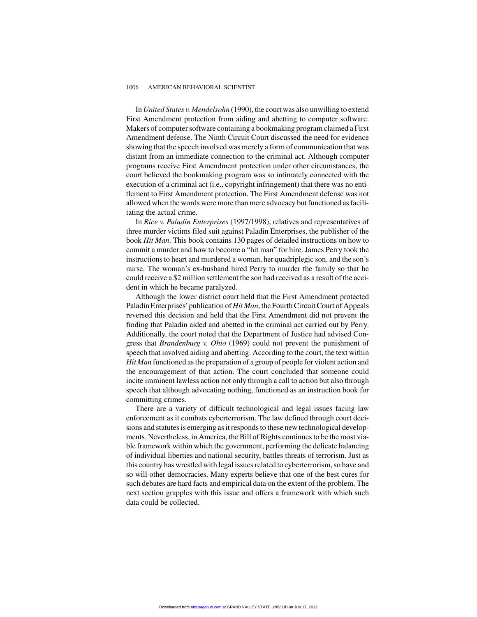#### 1006 AMERICAN BEHAVIORAL SCIENTIST

In *United States v. Mendelsohn* (1990), the court was also unwilling to extend First Amendment protection from aiding and abetting to computer software. Makers of computer software containing a bookmaking program claimed a First Amendment defense. The Ninth Circuit Court discussed the need for evidence showing that the speech involved was merely a form of communication that was distant from an immediate connection to the criminal act. Although computer programs receive First Amendment protection under other circumstances, the court believed the bookmaking program was so intimately connected with the execution of a criminal act (i.e., copyright infringement) that there was no entitlement to First Amendment protection. The First Amendment defense was not allowed when the words were more than mere advocacy but functioned as facilitating the actual crime.

In *Rice v. Paladin Enterprises* (1997/1998), relatives and representatives of three murder victims filed suit against Paladin Enterprises, the publisher of the book *Hit Man*. This book contains 130 pages of detailed instructions on how to commit a murder and how to become a "hit man" for hire. James Perry took the instructions to heart and murdered a woman, her quadriplegic son, and the son's nurse. The woman's ex-husband hired Perry to murder the family so that he could receive a \$2 million settlement the son had received as a result of the accident in which he became paralyzed.

Although the lower district court held that the First Amendment protected Paladin Enterprises'publication of *Hit Man*, the Fourth Circuit Court of Appeals reversed this decision and held that the First Amendment did not prevent the finding that Paladin aided and abetted in the criminal act carried out by Perry. Additionally, the court noted that the Department of Justice had advised Congress that *Brandenburg v. Ohio* (1969) could not prevent the punishment of speech that involved aiding and abetting. According to the court, the text within *Hit Man* functioned as the preparation of a group of people for violent action and the encouragement of that action. The court concluded that someone could incite imminent lawless action not only through a call to action but also through speech that although advocating nothing, functioned as an instruction book for committing crimes.

There are a variety of difficult technological and legal issues facing law enforcement as it combats cyberterrorism. The law defined through court decisions and statutes is emerging as it responds to these new technological developments. Nevertheless, in America, the Bill of Rights continues to be the most viable framework within which the government, performing the delicate balancing of individual liberties and national security, battles threats of terrorism. Just as this country has wrestled with legal issues related to cyberterrorism, so have and so will other democracies. Many experts believe that one of the best cures for such debates are hard facts and empirical data on the extent of the problem. The next section grapples with this issue and offers a framework with which such data could be collected.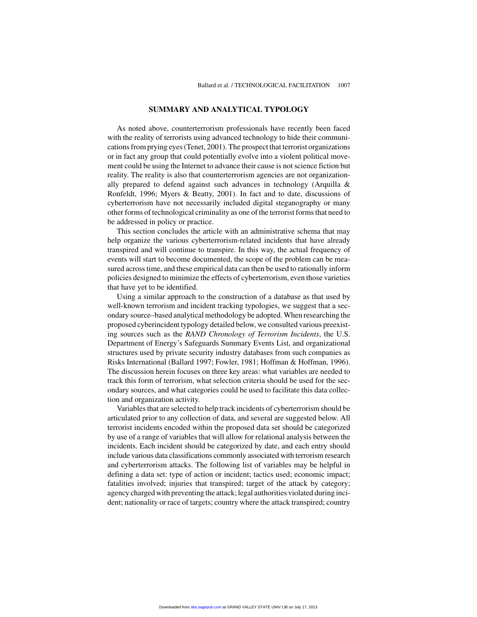### **SUMMARY AND ANALYTICAL TYPOLOGY**

As noted above, counterterrorism professionals have recently been faced with the reality of terrorists using advanced technology to hide their communications from prying eyes (Tenet, 2001). The prospect that terrorist organizations or in fact any group that could potentially evolve into a violent political movement could be using the Internet to advance their cause is not science fiction but reality. The reality is also that counterterrorism agencies are not organizationally prepared to defend against such advances in technology (Arquilla & Ronfeldt, 1996; Myers & Beatty, 2001). In fact and to date, discussions of cyberterrorism have not necessarily included digital steganography or many other forms of technological criminality as one of the terrorist forms that need to be addressed in policy or practice.

This section concludes the article with an administrative schema that may help organize the various cyberterrorism-related incidents that have already transpired and will continue to transpire. In this way, the actual frequency of events will start to become documented, the scope of the problem can be measured across time, and these empirical data can then be used to rationally inform policies designed to minimize the effects of cyberterrorism, even those varieties that have yet to be identified.

Using a similar approach to the construction of a database as that used by well-known terrorism and incident tracking typologies, we suggest that a secondary source–based analytical methodology be adopted. When researching the proposed cyberincident typology detailed below, we consulted various preexisting sources such as the *RAND Chronology of Terrorism Incidents*, the U.S. Department of Energy's Safeguards Summary Events List, and organizational structures used by private security industry databases from such companies as Risks International (Ballard 1997; Fowler, 1981; Hoffman & Hoffman, 1996). The discussion herein focuses on three key areas: what variables are needed to track this form of terrorism, what selection criteria should be used for the secondary sources, and what categories could be used to facilitate this data collection and organization activity.

Variables that are selected to help track incidents of cyberterrorism should be articulated prior to any collection of data, and several are suggested below. All terrorist incidents encoded within the proposed data set should be categorized by use of a range of variables that will allow for relational analysis between the incidents. Each incident should be categorized by date, and each entry should include various data classifications commonly associated with terrorism research and cyberterrorism attacks. The following list of variables may be helpful in defining a data set: type of action or incident; tactics used; economic impact; fatalities involved; injuries that transpired; target of the attack by category; agency charged with preventing the attack; legal authorities violated during incident; nationality or race of targets; country where the attack transpired; country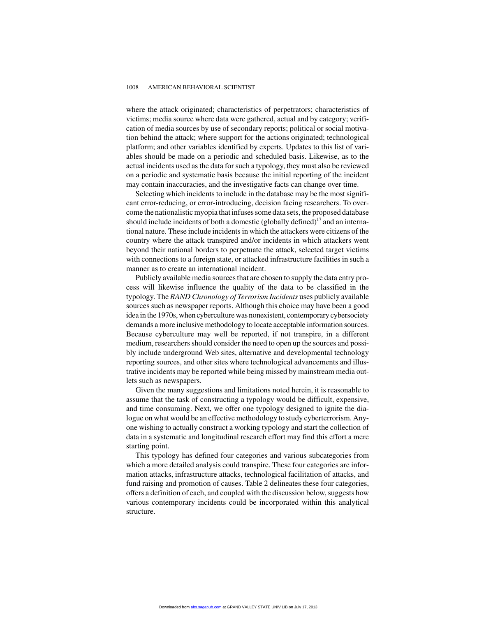where the attack originated; characteristics of perpetrators; characteristics of victims; media source where data were gathered, actual and by category; verification of media sources by use of secondary reports; political or social motivation behind the attack; where support for the actions originated; technological platform; and other variables identified by experts. Updates to this list of variables should be made on a periodic and scheduled basis. Likewise, as to the actual incidents used as the data for such a typology, they must also be reviewed on a periodic and systematic basis because the initial reporting of the incident may contain inaccuracies, and the investigative facts can change over time.

Selecting which incidents to include in the database may be the most significant error-reducing, or error-introducing, decision facing researchers. To overcome the nationalistic myopia that infuses some data sets, the proposed database should include incidents of both a domestic (globally defined)<sup>17</sup> and an international nature. These include incidents in which the attackers were citizens of the country where the attack transpired and/or incidents in which attackers went beyond their national borders to perpetuate the attack, selected target victims with connections to a foreign state, or attacked infrastructure facilities in such a manner as to create an international incident.

Publicly available media sources that are chosen to supply the data entry process will likewise influence the quality of the data to be classified in the typology. The *RANDChronology of Terrorism Incidents* uses publicly available sources such as newspaper reports. Although this choice may have been a good idea in the 1970s, when cyberculture was nonexistent, contemporary cybersociety demands a more inclusive methodology to locate acceptable information sources. Because cyberculture may well be reported, if not transpire, in a different medium, researchers should consider the need to open up the sources and possibly include underground Web sites, alternative and developmental technology reporting sources, and other sites where technological advancements and illustrative incidents may be reported while being missed by mainstream media outlets such as newspapers.

Given the many suggestions and limitations noted herein, it is reasonable to assume that the task of constructing a typology would be difficult, expensive, and time consuming. Next, we offer one typology designed to ignite the dialogue on what would be an effective methodology to study cyberterrorism. Anyone wishing to actually construct a working typology and start the collection of data in a systematic and longitudinal research effort may find this effort a mere starting point.

This typology has defined four categories and various subcategories from which a more detailed analysis could transpire. These four categories are information attacks, infrastructure attacks, technological facilitation of attacks, and fund raising and promotion of causes. Table 2 delineates these four categories, offers a definition of each, and coupled with the discussion below, suggests how various contemporary incidents could be incorporated within this analytical structure.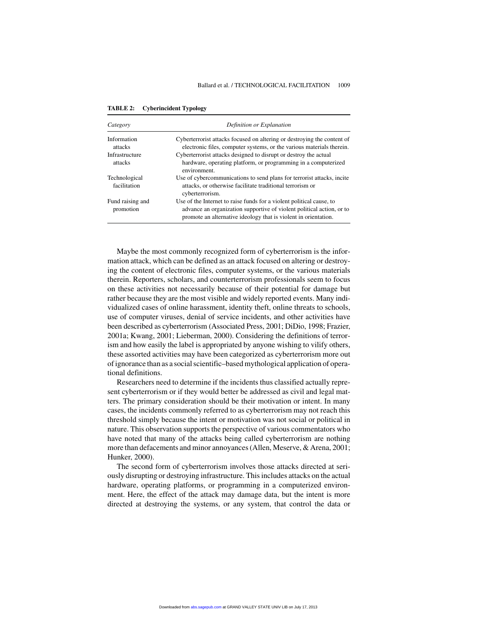| Category                      | Definition or Explanation                                                                                                                                                                                        |  |
|-------------------------------|------------------------------------------------------------------------------------------------------------------------------------------------------------------------------------------------------------------|--|
| Information<br>attacks        | Cyberterrorist attacks focused on altering or destroying the content of<br>electronic files, computer systems, or the various materials therein.                                                                 |  |
| Infrastructure<br>attacks     | Cyberterrorist attacks designed to disrupt or destroy the actual<br>hardware, operating platform, or programming in a computerized<br>environment.                                                               |  |
| Technological<br>facilitation | Use of cybercommunications to send plans for terrorist attacks, incite<br>attacks, or otherwise facilitate traditional terrorism or<br>cyberterrorism.                                                           |  |
| Fund raising and<br>promotion | Use of the Internet to raise funds for a violent political cause, to<br>advance an organization supportive of violent political action, or to<br>promote an alternative ideology that is violent in orientation. |  |

**TABLE 2: Cyberincident Typology**

Maybe the most commonly recognized form of cyberterrorism is the information attack, which can be defined as an attack focused on altering or destroying the content of electronic files, computer systems, or the various materials therein. Reporters, scholars, and counterterrorism professionals seem to focus on these activities not necessarily because of their potential for damage but rather because they are the most visible and widely reported events. Many individualized cases of online harassment, identity theft, online threats to schools, use of computer viruses, denial of service incidents, and other activities have been described as cyberterrorism (Associated Press, 2001; DiDio, 1998; Frazier, 2001a; Kwang, 2001; Lieberman, 2000). Considering the definitions of terrorism and how easily the label is appropriated by anyone wishing to vilify others, these assorted activities may have been categorized as cyberterrorism more out of ignorance than as a social scientific–based mythological application of operational definitions.

Researchers need to determine if the incidents thus classified actually represent cyberterrorism or if they would better be addressed as civil and legal matters. The primary consideration should be their motivation or intent. In many cases, the incidents commonly referred to as cyberterrorism may not reach this threshold simply because the intent or motivation was not social or political in nature. This observation supports the perspective of various commentators who have noted that many of the attacks being called cyberterrorism are nothing more than defacements and minor annoyances (Allen, Meserve, & Arena, 2001; Hunker, 2000).

The second form of cyberterrorism involves those attacks directed at seriously disrupting or destroying infrastructure. This includes attacks on the actual hardware, operating platforms, or programming in a computerized environment. Here, the effect of the attack may damage data, but the intent is more directed at destroying the systems, or any system, that control the data or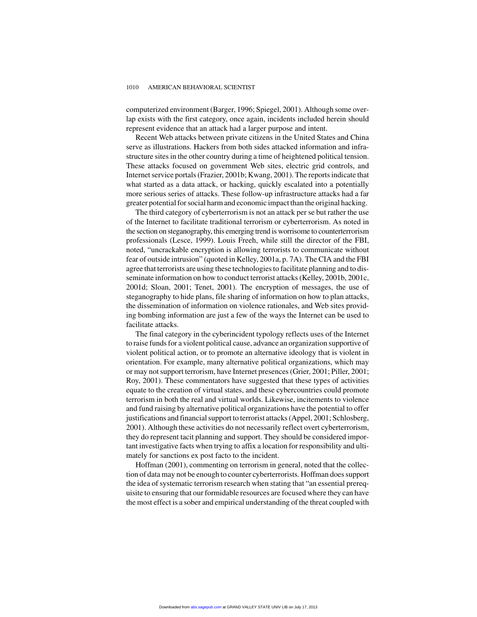computerized environment (Barger, 1996; Spiegel, 2001). Although some overlap exists with the first category, once again, incidents included herein should represent evidence that an attack had a larger purpose and intent.

Recent Web attacks between private citizens in the United States and China serve as illustrations. Hackers from both sides attacked information and infrastructure sites in the other country during a time of heightened political tension. These attacks focused on government Web sites, electric grid controls, and Internet service portals (Frazier, 2001b; Kwang, 2001). The reports indicate that what started as a data attack, or hacking, quickly escalated into a potentially more serious series of attacks. These follow-up infrastructure attacks had a far greater potential for social harm and economic impact than the original hacking.

The third category of cyberterrorism is not an attack per se but rather the use of the Internet to facilitate traditional terrorism or cyberterrorism. As noted in the section on steganography, this emerging trend is worrisome to counterterrorism professionals (Lesce, 1999). Louis Freeh, while still the director of the FBI, noted, "uncrackable encryption is allowing terrorists to communicate without fear of outside intrusion" (quoted in Kelley, 2001a, p. 7A). The CIA and the FBI agree that terrorists are using these technologies to facilitate planning and to disseminate information on how to conduct terrorist attacks (Kelley, 2001b, 2001c, 2001d; Sloan, 2001; Tenet, 2001). The encryption of messages, the use of steganography to hide plans, file sharing of information on how to plan attacks, the dissemination of information on violence rationales, and Web sites providing bombing information are just a few of the ways the Internet can be used to facilitate attacks.

The final category in the cyberincident typology reflects uses of the Internet to raise funds for a violent political cause, advance an organization supportive of violent political action, or to promote an alternative ideology that is violent in orientation. For example, many alternative political organizations, which may or may not support terrorism, have Internet presences (Grier, 2001; Piller, 2001; Roy, 2001). These commentators have suggested that these types of activities equate to the creation of virtual states, and these cybercountries could promote terrorism in both the real and virtual worlds. Likewise, incitements to violence and fund raising by alternative political organizations have the potential to offer justifications and financial support to terrorist attacks (Appel, 2001; Schlosberg, 2001). Although these activities do not necessarily reflect overt cyberterrorism, they do represent tacit planning and support. They should be considered important investigative facts when trying to affix a location for responsibility and ultimately for sanctions ex post facto to the incident.

Hoffman (2001), commenting on terrorism in general, noted that the collection of data may not be enough to counter cyberterrorists. Hoffman does support the idea of systematic terrorism research when stating that "an essential prerequisite to ensuring that our formidable resources are focused where they can have the most effect is a sober and empirical understanding of the threat coupled with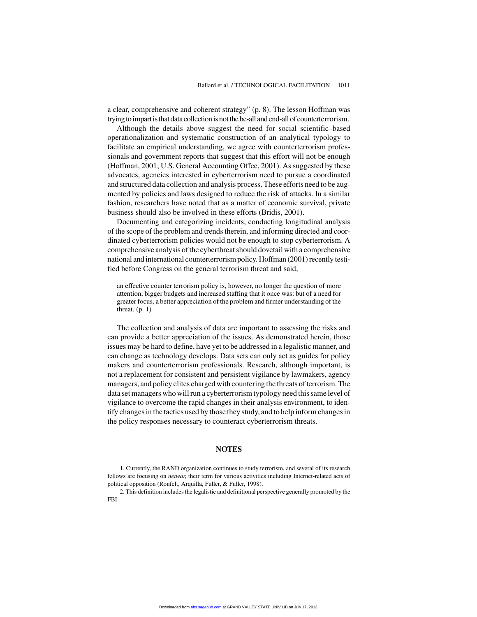a clear, comprehensive and coherent strategy" (p. 8). The lesson Hoffman was trying to impart is that data collection is not the be-all and end-all of counterterrorism.

Although the details above suggest the need for social scientific–based operationalization and systematic construction of an analytical typology to facilitate an empirical understanding, we agree with counterterrorism professionals and government reports that suggest that this effort will not be enough (Hoffman, 2001; U.S. General Accounting Offce, 2001). As suggested by these advocates, agencies interested in cyberterrorism need to pursue a coordinated and structured data collection and analysis process. These efforts need to be augmented by policies and laws designed to reduce the risk of attacks. In a similar fashion, researchers have noted that as a matter of economic survival, private business should also be involved in these efforts (Bridis, 2001).

Documenting and categorizing incidents, conducting longitudinal analysis of the scope of the problem and trends therein, and informing directed and coordinated cyberterrorism policies would not be enough to stop cyberterrorism. A comprehensive analysis of the cyberthreat should dovetail with a comprehensive national and international counterterrorism policy. Hoffman (2001) recently testified before Congress on the general terrorism threat and said,

an effective counter terrorism policy is, however, no longer the question of more attention, bigger budgets and increased staffing that it once was: but of a need for greater focus, a better appreciation of the problem and firmer understanding of the threat.  $(p, 1)$ 

The collection and analysis of data are important to assessing the risks and can provide a better appreciation of the issues. As demonstrated herein, those issues may be hard to define, have yet to be addressed in a legalistic manner, and can change as technology develops. Data sets can only act as guides for policy makers and counterterrorism professionals. Research, although important, is not a replacement for consistent and persistent vigilance by lawmakers, agency managers, and policy elites charged with countering the threats of terrorism. The data set managers who will run a cyberterrorism typology need this same level of vigilance to overcome the rapid changes in their analysis environment, to identify changes in the tactics used by those they study, and to help inform changes in the policy responses necessary to counteract cyberterrorism threats.

#### **NOTES**

2. This definition includes the legalistic and definitional perspective generally promoted by the FBI.

<sup>1.</sup> Currently, the RAND organization continues to study terrorism, and several of its research fellows are focusing on *netwar*, their term for various activities including Internet-related acts of political opposition (Ronfelt, Arquilla, Fuller, & Fuller, 1998).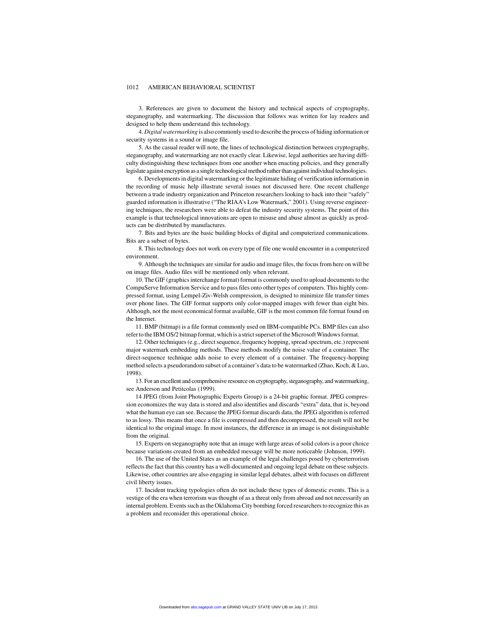#### 1012 AMERICAN BEHAVIORAL SCIENTIST

3. References are given to document the history and technical aspects of cryptography, steganography, and watermarking. The discussion that follows was written for lay readers and designed to help them understand this technology.

4. *Digital watermarking* is also commonly used to describe the process of hiding information or security systems in a sound or image file.

5. As the casual reader will note, the lines of technological distinction between cryptography, steganography, and watermarking are not exactly clear. Likewise, legal authorities are having difficulty distinguishing these techniques from one another when enacting policies, and they generally legislate against encryption as a single technological method rather than against individual technologies.

6. Developments in digital watermarking or the legitimate hiding of verification information in the recording of music help illustrate several issues not discussed here. One recent challenge between a trade industry organization and Princeton researchers looking to hack into their "safely" guarded information is illustrative ("The RIAA's Low Watermark," 2001). Using reverse engineering techniques, the researchers were able to defeat the industry security systems. The point of this example is that technological innovations are open to misuse and abuse almost as quickly as products can be distributed by manufactures.

7. Bits and bytes are the basic building blocks of digital and computerized communications. Bits are a subset of bytes.

8. This technology does not work on every type of file one would encounter in a computerized environment.

9. Although the techniques are similar for audio and image files, the focus from here on will be on image files. Audio files will be mentioned only when relevant.

10. The GIF (graphics interchange format) format is commonly used to upload documents to the CompuServe Information Service and to pass files onto other types of computers. This highly compressed format, using Lempel-Ziv-Welsh compression, is designed to minimize file transfer times over phone lines. The GIF format supports only color-mapped images with fewer than eight bits. Although, not the most economical format available, GIF is the most common file format found on the Internet.

11. BMP (bitmap) is a file format commonly used on IBM-compatible PCs. BMP files can also refer to the IBM OS/2 bitmap format, which is a strict superset of the Microsoft Windows format.

12. Other techniques (e.g., direct sequence, frequency hopping, spread spectrum, etc.) represent major watermark embedding methods. These methods modify the noise value of a container. The direct-sequence technique adds noise to every element of a container. The frequency-hopping method selects a pseudorandom subset of a container's data to be watermarked (Zhao, Koch, & Luo, 1998).

13. For an excellent and comprehensive resource on cryptography, steganography, and watermarking, see Anderson and Petitcolas (1999).

14 JPEG (from Joint Photographic Experts Group) is a 24-bit graphic format. JPEG compression economizes the way data is stored and also identifies and discards "extra" data, that is, beyond what the human eye can see. Because the JPEG format discards data, the JPEG algorithm is referred to as lossy. This means that once a file is compressed and then decompressed, the result will not be identical to the original image. In most instances, the difference in an image is not distinguishable from the original.

15. Experts on steganography note that an image with large areas of solid colors is a poor choice because variations created from an embedded message will be more noticeable (Johnson, 1999).

16. The use of the United States as an example of the legal challenges posed by cyberterrorism reflects the fact that this country has a well-documented and ongoing legal debate on these subjects. Likewise, other countries are also engaging in similar legal debates, albeit with focuses on different civil liberty issues.

17. Incident tracking typologies often do not include these types of domestic events. This is a vestige of the era when terrorism was thought of as a threat only from abroad and not necessarily an internal problem. Events such as the Oklahoma City bombing forced researchers to recognize this as a problem and reconsider this operational choice.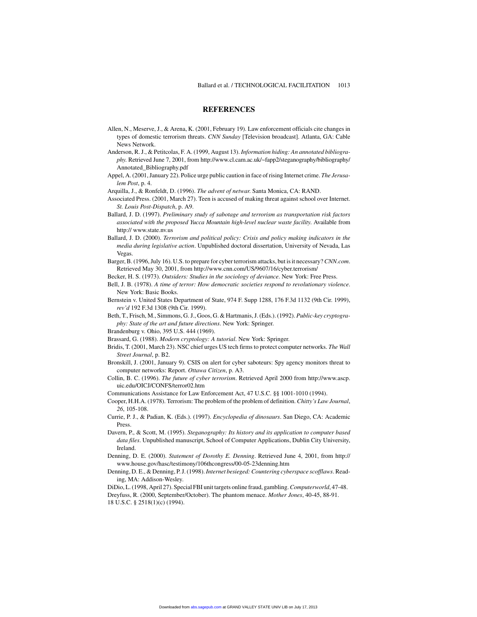#### **REFERENCES**

- Allen, N., Meserve, J., & Arena, K. (2001, February 19). Law enforcement officials cite changes in types of domestic terrorism threats. *CNN Sunday* [Television broadcast]. Atlanta, GA: Cable News Network.
- Anderson, R. J., & Petitcolas, F. A. (1999, August 13). *Information hiding: An annotated bibliography*. Retrieved June 7, 2001, from http://www.cl.cam.ac.uk/~fapp2/steganography/bibliography/ Annotated\_Bibliography.pdf
- Appel, A. (2001, January 22). Police urge public caution in face of rising Internet crime. *The Jerusalem Post*, p. 4.
- Arquilla, J., & Ronfeldt, D. (1996). *The advent of netwar*. Santa Monica, CA: RAND.
- Associated Press. (2001, March 27). Teen is accused of making threat against school over Internet. *St. Louis Post-Dispatch*, p. A9.
- Ballard, J. D. (1997). *Preliminary study of sabotage and terrorism as transportation risk factors associated with the proposed Yucca Mountain high-level nuclear waste facility*. Available from http:// www.state.nv.us
- Ballard, J. D. (2000). *Terrorism and political policy: Crisis and policy making indicators in the media during legislative action*. Unpublished doctoral dissertation, University of Nevada, Las Vegas.
- Barger, B. (1996, July 16). U.S. to prepare for cyber terrorism attacks, but is it necessary? *CNN.com*. Retrieved May 30, 2001, from http://www.cnn.com/US/9607/16/cyber.terrorism/
- Becker, H. S. (1973). *Outsiders: Studies in the sociology of deviance*. New York: Free Press.
- Bell, J. B. (1978). *A time of terror: How democratic societies respond to revolutionary violence*. New York: Basic Books.
- Bernstein v. United States Department of State, 974 F. Supp 1288, 176 F.3d 1132 (9th Cir. 1999), *rev'd* 192 F.3d 1308 (9th Cir. 1999).
- Beth, T., Frisch, M., Simmons, G. J., Goos, G. & Hartmanis, J. (Eds.). (1992). *Public-key cryptography: State of the art and future directions*. New York: Springer.
- Brandenburg v. Ohio, 395 U.S. 444 (1969).
- Brassard, G. (1988). *Modern cryptology: A tutorial*. New York: Springer.
- Bridis, T. (2001, March 23). NSC chief urges US tech firms to protect computer networks. *The Wall Street Journal*, p. B2.
- Bronskill, J. (2001, January 9). CSIS on alert for cyber saboteurs: Spy agency monitors threat to computer networks: Report. *Ottawa Citizen*, p. A3.
- Collin, B. C. (1996). *The future of cyber terrorism*. Retrieved April 2000 from http://www.ascp. uic.edu/OICJ/CONFS/terror02.htm
- Communications Assistance for Law Enforcement Act, 47 U.S.C. §§ 1001-1010 (1994).
- Cooper, H.H.A. (1978). Terrorism: The problem of the problem of definition. *Chitty's Law Journal*, *26*, 105-108.
- Currie, P. J., & Padian, K. (Eds.). (1997). *Encyclopedia of dinosaurs*. San Diego, CA: Academic Press.
- Davern, P., & Scott, M. (1995). *Steganography: Its history and its application to computer based data files*. Unpublished manuscript, School of Computer Applications, Dublin City University, Ireland.
- Denning, D. E. (2000). *Statement of Dorothy E. Denning*. Retrieved June 4, 2001, from http:// www.house.gov/hasc/testimony/106thcongress/00-05-23denning.htm
- Denning, D. E., & Denning, P. J. (1998).*Internet besieged: Countering cyberspace scofflaws*. Reading, MA: Addison-Wesley.
- DiDio, L. (1998, April 27). Special FBI unit targets online fraud, gambling.*Computerworld*, 47-48.
- Dreyfuss, R. (2000, September/October). The phantom menace. *Mother Jones*, 40-45, 88-91.
- 18 U.S.C. § 2518(1)(c) (1994).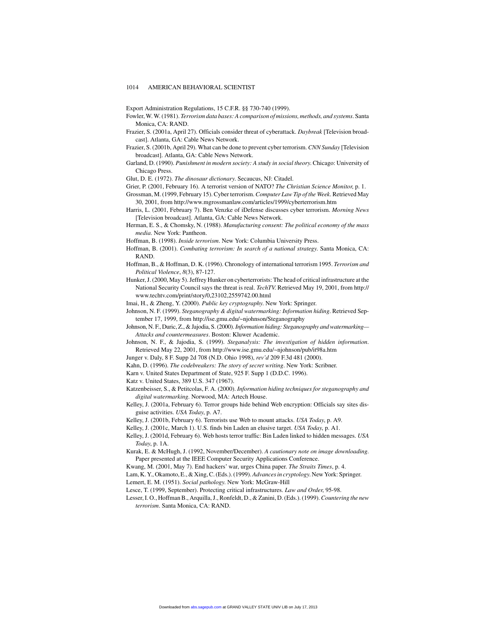Export Administration Regulations, 15 C.F.R. §§ 730-740 (1999).

- Fowler, W. W. (1981). *Terrorism data bases: A comparison of missions, methods, and systems*. Santa Monica, CA: RAND.
- Frazier, S. (2001a, April 27). Officials consider threat of cyberattack. *Daybreak* [Television broadcast]. Atlanta, GA: Cable News Network.
- Frazier, S. (2001b, April 29). What can be done to prevent cyber terrorism. *CNN Sunday* [Television broadcast]. Atlanta, GA: Cable News Network.
- Garland, D. (1990). *Punishment in modern society: A study in social theory*. Chicago: University of Chicago Press.

Glut, D. E. (1972). *The dinosaur dictionary*. Secaucus, NJ: Citadel.

- Grier, P. (2001, February 16). A terrorist version of NATO? *The Christian Science Monitor*, p. 1.
- Grossman, M. (1999, February 15). Cyber terrorism. *Computer Law Tip of the Week*. Retrieved May 30, 2001, from http://www.mgrossmanlaw.com/articles/1999/cyberterrorism.htm
- Harris, L. (2001, February 7). Ben Venzke of iDefense discusses cyber terrorism. *Morning News* [Television broadcast]. Atlanta, GA: Cable News Network.
- Herman, E. S., & Chomsky, N. (1988). *Manufacturing consent: The political economy of the mass media*. New York: Pantheon.
- Hoffman, B. (1998). *Inside terrorism*. New York: Columbia University Press.
- Hoffman, B. (2001). *Combating terrorism: In search of a national strategy*. Santa Monica, CA: RAND.
- Hoffman, B., & Hoffman, D. K. (1996). Chronology of international terrorism 1995. *Terrorism and Political Violence*, *8*(3), 87-127.
- Hunker, J. (2000, May 5). Jeffrey Hunker on cyberterrorists: The head of critical infrastructure at the National Security Council says the threat is real. *TechTV*. Retrieved May 19, 2001, from http:// www.techtv.com/print/story/0,23102,2559742.00.html
- Imai, H., & Zheng, Y. (2000). *Public key cryptography*. New York: Springer.
- Johnson, N. F. (1999). *Steganography & digital watermarking: Information hiding*. Retrieved September 17, 1999, from http://ise.gmu.edu/~njohnson/Steganography
- Johnson, N. F., Duric, Z., & Jajodia, S. (2000).*Information hiding: Steganography and watermarking— Attacks and countermeasures*. Boston: Kluwer Academic.
- Johnson, N. F., & Jajodia, S. (1999). *Steganalysis: The investigation of hidden information*. Retrieved May 22, 2001, from http://www.ise.gmu.edu/~njohnson/pub/it98a.htm
- Junger v. Daly, 8 F. Supp 2d 708 (N.D. Ohio 1998), *rev'd* 209 F.3d 481 (2000).
- Kahn, D. (1996). *The codebreakers: The story of secret writing*. New York: Scribner.
- Karn v. United States Department of State, 925 F. Supp 1 (D.D.C. 1996).
- Katz v. United States, 389 U.S. 347 (1967).
- Katzenbeisser, S., & Petitcolas, F. A. (2000). *Information hiding techniques for steganography and digital watermarking*. Norwood, MA: Artech House.
- Kelley, J. (2001a, February 6). Terror groups hide behind Web encryption: Officials say sites disguise activities. *USA Today*, p. A7.
- Kelley, J. (2001b, February 6). Terrorists use Web to mount attacks. *USA Today*, p. A9.
- Kelley, J. (2001c, March 1). U.S. finds bin Laden an elusive target. *USA Today*, p. A1.
- Kelley, J. (2001d, February 6). Web hosts terror traffic: Bin Laden linked to hidden messages. *USA Today*, p. 1A.
- Kurak, E. & McHugh, J. (1992, November/December). *A cautionary note on image downloading*. Paper presented at the IEEE Computer Security Applications Conference.
- Kwang, M. (2001, May 7). End hackers' war, urges China paper. *The Straits Times*, p. 4.
- Lam, K. Y., Okamoto, E., & Xing, C. (Eds.). (1999).*Advances in cryptology*. New York: Springer.
- Lemert, E. M. (1951). *Social pathology*. New York: McGraw-Hill
- Lesce, T. (1999, September). Protecting critical infrastructures. *Law and Order*, 95-98.
- Lesser, I. O., Hoffman B., Arquilla, J., Ronfeldt, D., & Zanini, D. (Eds.). (1999).*Countering the new terrorism*. Santa Monica, CA: RAND.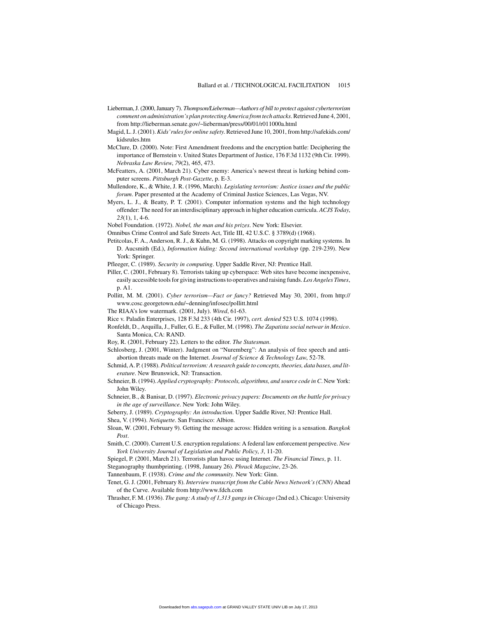- Lieberman, J. (2000, January 7). *Thompson/Lieberman—Authors of bill to protect against cyberterrorism comment on administration's plan protecting America from tech attacks*. Retrieved June 4, 2001, from http://lieberman.senate.gov/~lieberman/press/00/01/r011000a.html
- Magid, L. J. (2001). *Kids'rules for online safety*. Retrieved June 10, 2001, from http://safekids.com/ kidsrules.htm
- McClure, D. (2000). Note: First Amendment freedoms and the encryption battle: Deciphering the importance of Bernstein v. United States Department of Justice, 176 F.3d 1132 (9th Cir. 1999). *Nebraska Law Review*, *79*(2), 465, 473.
- McFeatters, A. (2001, March 21). Cyber enemy: America's newest threat is lurking behind computer screens. *Pittsburgh Post-Gazette*, p. E-3.
- Mullendore, K., & White, J. R. (1996, March). *Legislating terrorism: Justice issues and the public forum*. Paper presented at the Academy of Criminal Justice Sciences, Las Vegas, NV.
- Myers, L. J., & Beatty, P. T. (2001). Computer information systems and the high technology offender: The need for an interdisciplinary approach in higher education curricula. *ACJS Today*, *23*(1), 1, 4-6.
- Nobel Foundation. (1972). *Nobel, the man and his prizes*. New York: Elsevier.
- Omnibus Crime Control and Safe Streets Act, Title III, 42 U.S.C. § 3789(d) (1968).
- Petitcolas, F. A., Anderson, R. J., & Kuhn, M. G. (1998). Attacks on copyright marking systems. In D. Aucsmith (Ed.), *Information hiding: Second international workshop* (pp. 219-239). New York: Springer.
- Pfleeger, C. (1989). *Security in computing*. Upper Saddle River, NJ: Prentice Hall.
- Piller, C. (2001, February 8). Terrorists taking up cyberspace: Web sites have become inexpensive, easily accessible tools for giving instructions to operatives and raising funds. *Los Angeles Times*, p. A1.
- Pollitt, M. M. (2001). *Cyber terrorism—Fact or fancy?* Retrieved May 30, 2001, from http:// www.cosc.georgetown.edu/~denning/infosec/pollitt.html
- The RIAA's low watermark. (2001, July). *Wired*, 61-63.
- Rice v. Paladin Enterprises, 128 F.3d 233 (4th Cir. 1997), *cert. denied* 523 U.S. 1074 (1998).
- Ronfeldt, D., Arquilla, J., Fuller, G. E., & Fuller, M. (1998). *The Zapatista social netwar in Mexico*. Santa Monica, CA: RAND.
- Roy, R. (2001, February 22). Letters to the editor. *The Statesman*.
- Schlosberg, J. (2001, Winter). Judgment on "Nuremberg": An analysis of free speech and antiabortion threats made on the Internet. *Journal of Science & Technology Law*, 52-78.
- Schmid, A. P. (1988). *Political terrorism: A research guide to concepts, theories, data bases, and literature*. New Brunswick, NJ: Transaction.
- Schneier, B. (1994). *Applied cryptography: Protocols, algorithms, and source code in C*. New York: John Wiley.
- Schneier, B., & Banisar, D. (1997). *Electronic privacy papers: Documents on the battle for privacy in the age of surveillance*. New York: John Wiley.

Seberry, J. (1989). *Cryptography: An introduction*. Upper Saddle River, NJ: Prentice Hall.

Shea, V. (1994). *Netiquette*. San Francisco: Albion.

- Sloan, W. (2001, February 9). Getting the message across: Hidden writing is a sensation. *Bangkok Post*.
- Smith, C. (2000). Current U.S. encryption regulations: A federal law enforcement perspective. *New York University Journal of Legislation and Public Policy*, *3*, 11-20.

Spiegel, P. (2001, March 21). Terrorists plan havoc using Internet. *The Financial Times*, p. 11.

Steganography thumbprinting. (1998, January 26). *Phrack Magazine*, 23-26.

Tannenbaum, F. (1938). *Crime and the community*. New York: Ginn.

Tenet, G. J. (2001, February 8). *Interview transcript from the Cable News Network's (CNN)* Ahead of the Curve. Available from http://www.fdch.com

Thrasher, F. M. (1936). *The gang: A study of 1,313 gangs in Chicago* (2nd ed.). Chicago: University of Chicago Press.